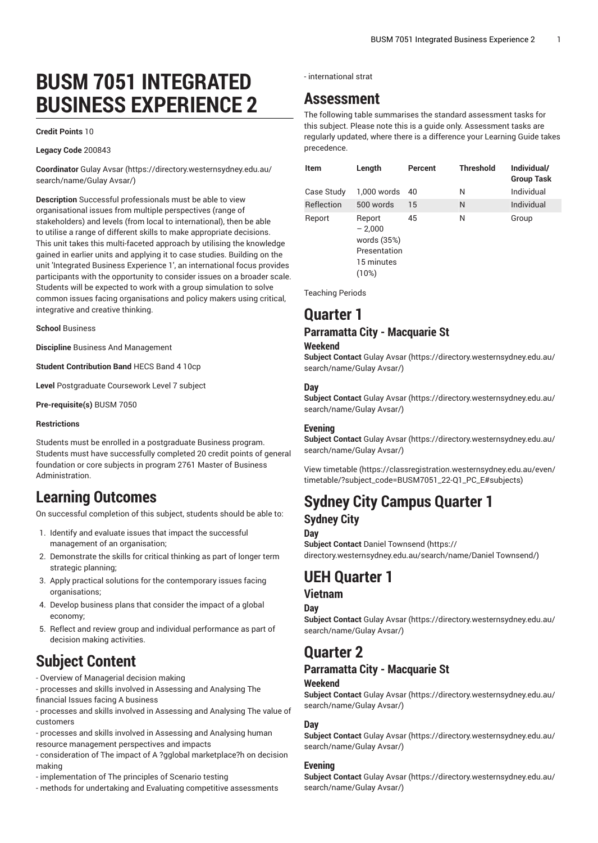# **BUSM 7051 INTEGRATED BUSINESS EXPERIENCE 2**

#### **Credit Points** 10

#### **Legacy Code** 200843

**Coordinator** [Gulay](https://directory.westernsydney.edu.au/search/name/Gulay Avsar/) Avsar ([https://directory.westernsydney.edu.au/](https://directory.westernsydney.edu.au/search/name/Gulay Avsar/) [search/name/Gulay](https://directory.westernsydney.edu.au/search/name/Gulay Avsar/) Avsar/)

**Description** Successful professionals must be able to view organisational issues from multiple perspectives (range of stakeholders) and levels (from local to international), then be able to utilise a range of different skills to make appropriate decisions. This unit takes this multi-faceted approach by utilising the knowledge gained in earlier units and applying it to case studies. Building on the unit 'Integrated Business Experience 1', an international focus provides participants with the opportunity to consider issues on a broader scale. Students will be expected to work with a group simulation to solve common issues facing organisations and policy makers using critical, integrative and creative thinking.

#### **School** Business

**Discipline** Business And Management

**Student Contribution Band** HECS Band 4 10cp

**Level** Postgraduate Coursework Level 7 subject

**Pre-requisite(s)** [BUSM 7050](/search/?P=BUSM%207050)

#### **Restrictions**

Students must be enrolled in a postgraduate Business program. Students must have successfully completed 20 credit points of general foundation or core subjects in program 2761 Master of Business Administration.

## **Learning Outcomes**

On successful completion of this subject, students should be able to:

- 1. Identify and evaluate issues that impact the successful management of an organisation;
- 2. Demonstrate the skills for critical thinking as part of longer term strategic planning;
- 3. Apply practical solutions for the contemporary issues facing organisations;
- 4. Develop business plans that consider the impact of a global economy;
- 5. Reflect and review group and individual performance as part of decision making activities.

## **Subject Content**

- Overview of Managerial decision making

- processes and skills involved in Assessing and Analysing The financial Issues facing A business

- processes and skills involved in Assessing and Analysing The value of customers

- processes and skills involved in Assessing and Analysing human resource management perspectives and impacts

- consideration of The impact of A ?gglobal marketplace?h on decision making

- implementation of The principles of Scenario testing
- methods for undertaking and Evaluating competitive assessments

- international strat

## **Assessment**

The following table summarises the standard assessment tasks for this subject. Please note this is a guide only. Assessment tasks are regularly updated, where there is a difference your Learning Guide takes precedence.

| Item       | Length                                                                   | Percent | <b>Threshold</b> | Individual/<br><b>Group Task</b> |
|------------|--------------------------------------------------------------------------|---------|------------------|----------------------------------|
| Case Study | 1.000 words                                                              | 40      | N                | Individual                       |
| Reflection | 500 words                                                                | 15      | N                | Individual                       |
| Report     | Report<br>$-2,000$<br>words (35%)<br>Presentation<br>15 minutes<br>(10%) | 45      | N                | Group                            |

Teaching Periods

## **Quarter 1**

### **Parramatta City - Macquarie St**

#### **Weekend**

**Subject Contact** Gulay [Avsar \(https://directory.westernsydney.edu.au/](https://directory.westernsydney.edu.au/search/name/Gulay Avsar/) [search/name/Gulay](https://directory.westernsydney.edu.au/search/name/Gulay Avsar/) Avsar/)

#### **Day**

**Subject Contact** Gulay [Avsar \(https://directory.westernsydney.edu.au/](https://directory.westernsydney.edu.au/search/name/Gulay Avsar/) [search/name/Gulay](https://directory.westernsydney.edu.au/search/name/Gulay Avsar/) Avsar/)

### **Evening**

**Subject Contact** Gulay [Avsar \(https://directory.westernsydney.edu.au/](https://directory.westernsydney.edu.au/search/name/Gulay Avsar/) [search/name/Gulay](https://directory.westernsydney.edu.au/search/name/Gulay Avsar/) Avsar/)

[View timetable](https://classregistration.westernsydney.edu.au/even/timetable/?subject_code=BUSM7051_22-Q1_PC_E#subjects) [\(https://classregistration.westernsydney.edu.au/even/](https://classregistration.westernsydney.edu.au/even/timetable/?subject_code=BUSM7051_22-Q1_PC_E#subjects) [timetable/?subject\\_code=BUSM7051\\_22-Q1\\_PC\\_E#subjects\)](https://classregistration.westernsydney.edu.au/even/timetable/?subject_code=BUSM7051_22-Q1_PC_E#subjects)

## **Sydney City Campus Quarter 1 Sydney City**

#### **Day**

**Subject Contact** Daniel [Townsend](https://directory.westernsydney.edu.au/search/name/Daniel Townsend/) ([https://](https://directory.westernsydney.edu.au/search/name/Daniel Townsend/) [directory.westernsydney.edu.au/search/name/Daniel](https://directory.westernsydney.edu.au/search/name/Daniel Townsend/) Townsend/)

## **UEH Quarter 1**

### **Vietnam**

**Day**

**Subject Contact** Gulay [Avsar \(https://directory.westernsydney.edu.au/](https://directory.westernsydney.edu.au/search/name/Gulay Avsar/) [search/name/Gulay](https://directory.westernsydney.edu.au/search/name/Gulay Avsar/) Avsar/)

## **Quarter 2**

### **Parramatta City - Macquarie St**

### **Weekend**

**Subject Contact** Gulay [Avsar \(https://directory.westernsydney.edu.au/](https://directory.westernsydney.edu.au/search/name/Gulay Avsar/) [search/name/Gulay](https://directory.westernsydney.edu.au/search/name/Gulay Avsar/) Avsar/)

### **Day**

**Subject Contact** Gulay [Avsar \(https://directory.westernsydney.edu.au/](https://directory.westernsydney.edu.au/search/name/Gulay Avsar/) [search/name/Gulay](https://directory.westernsydney.edu.au/search/name/Gulay Avsar/) Avsar/)

#### **Evening**

**Subject Contact** Gulay [Avsar \(https://directory.westernsydney.edu.au/](https://directory.westernsydney.edu.au/search/name/Gulay Avsar/) [search/name/Gulay](https://directory.westernsydney.edu.au/search/name/Gulay Avsar/) Avsar/)